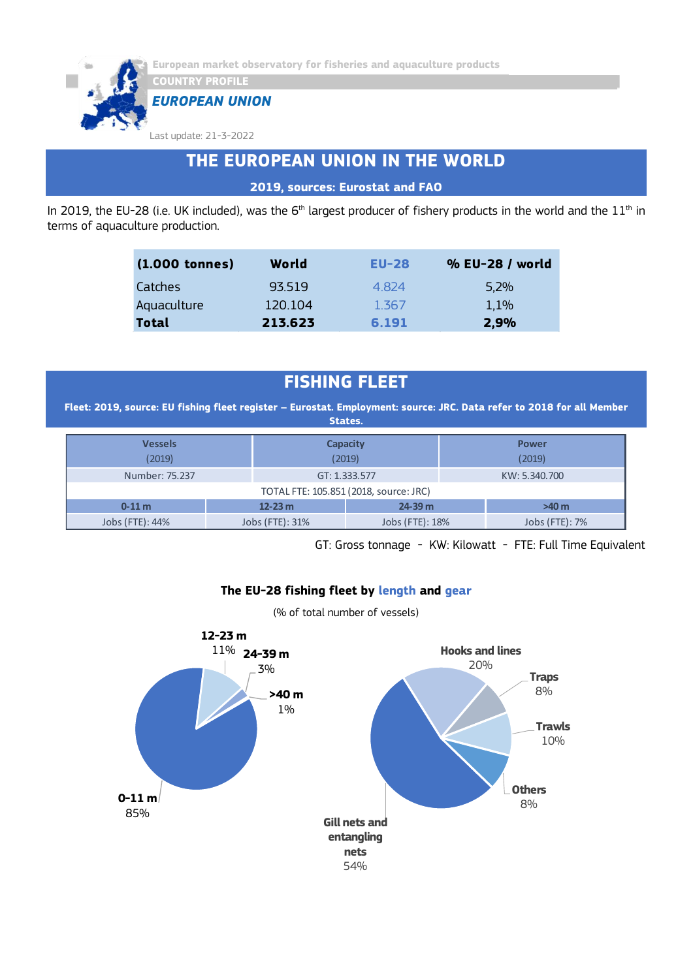

*EUROPEAN UNION*

Last update: 21-3-2022

## **THE EUROPEAN UNION IN THE WORLD**

**2019, sources: Eurostat and FAO**

In 2019, the EU-28 (i.e. UK included), was the 6<sup>th</sup> largest producer of fishery products in the world and the  $11^{\text{th}}$  in terms of aquaculture production.

| $(1.000$ tonnes) | World   | $EU-28$ | % EU-28 / world |
|------------------|---------|---------|-----------------|
| Catches          | 93519   | 4824    | 5,2%            |
| Aquaculture      | 120.104 | 1.367   | 1,1%            |
| <b>Total</b>     | 213.623 | 6.191   | 2,9%            |

## **FISHING FLEET**

**Fleet: 2019, source: EU fishing fleet register – Eurostat. Employment: source: JRC. Data refer to 2018 for all Member States.**

| <b>Vessels</b><br>(2019)               |                 | <b>Capacity</b><br>(2019) | <b>Power</b><br>(2019) |  |  |  |
|----------------------------------------|-----------------|---------------------------|------------------------|--|--|--|
| Number: 75.237                         |                 | GT: 1.333.577             | KW: 5.340.700          |  |  |  |
| TOTAL FTE: 105.851 (2018, source: JRC) |                 |                           |                        |  |  |  |
| $0 - 11$ m                             | $12 - 23$ m     | $24 - 39$ m               | $>40$ m                |  |  |  |
| Jobs (FTE): 44%                        | Jobs (FTE): 31% | Jobs (FTE): 18%           | Jobs (FTE): 7%         |  |  |  |

GT: Gross tonnage - KW: Kilowatt - FTE: Full Time Equivalent

### **The EU-28 fishing fleet by length and gear**

(% of total number of vessels)

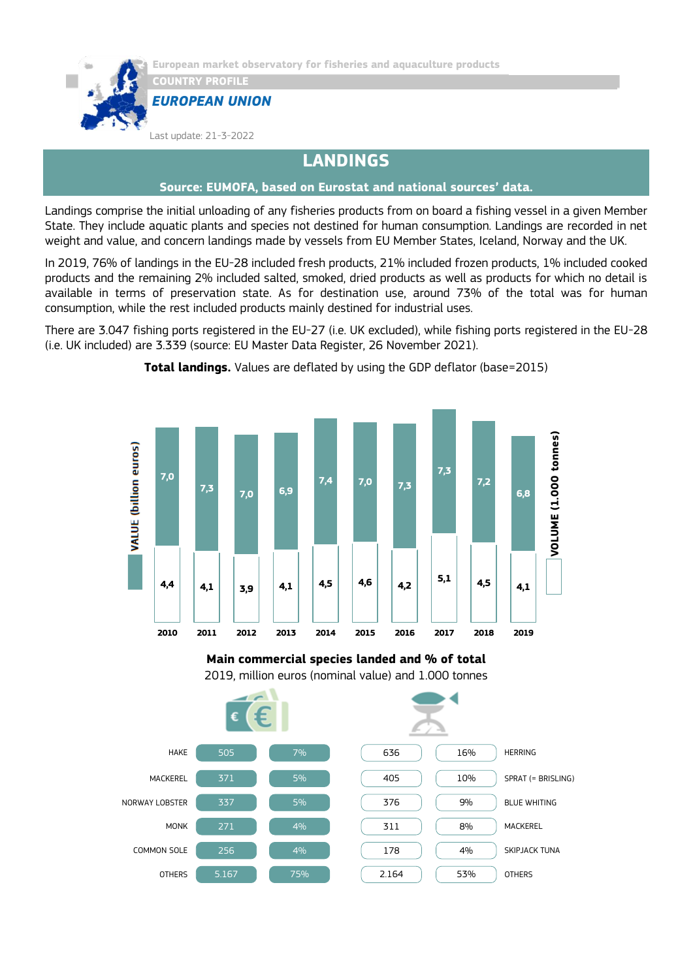



Last update: 21-3-2022

**CONTRY PROFILE** 

### **LANDINGS**

### **Source: EUMOFA, based on Eurostat and national sources' data.**

Landings comprise the initial unloading of any fisheries products from on board a fishing vessel in a given Member State. They include aquatic plants and species not destined for human consumption. Landings are recorded in net weight and value, and concern landings made by vessels from EU Member States, Iceland, Norway and the UK.

In 2019, 76% of landings in the EU-28 included fresh products, 21% included frozen products, 1% included cooked products and the remaining 2% included salted, smoked, dried products as well as products for which no detail is available in terms of preservation state. As for destination use, around 73% of the total was for human consumption, while the rest included products mainly destined for industrial uses.

There are 3.047 fishing ports registered in the EU-27 (i.e. UK excluded), while fishing ports registered in the EU-28 (i.e. UK included) are 3.339 (source: EU Master Data Register, 26 November 2021).







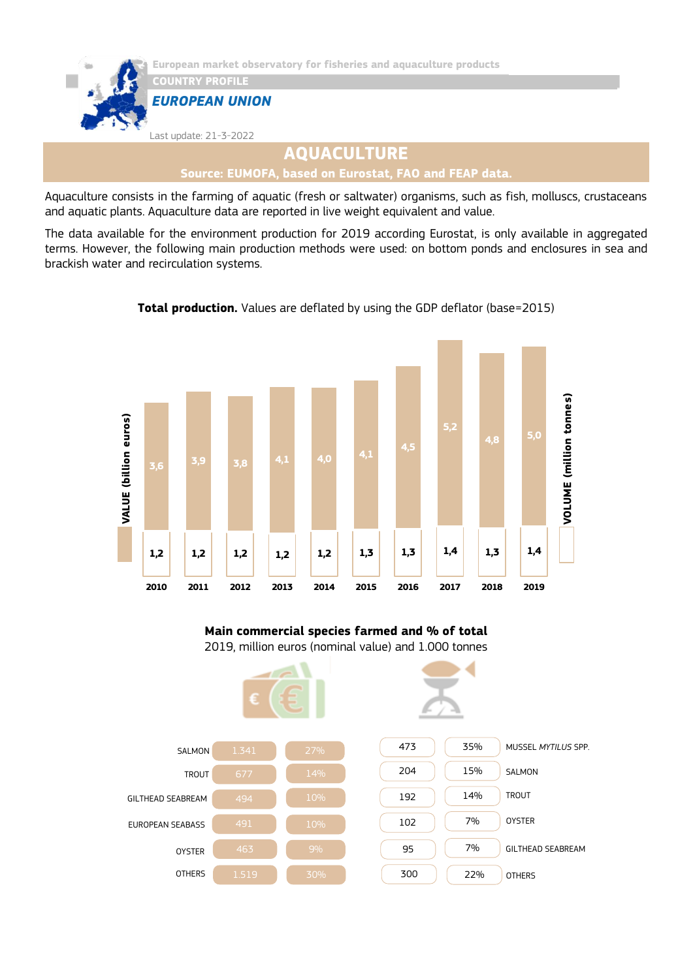

Last update: 21-3-2022

# **AQUACULTURE**

**Source: EUMOFA, based on Eurostat, FAO and FEAP data.**

Aquaculture consists in the farming of aquatic (fresh or saltwater) organisms, such as fish, molluscs, crustaceans and aquatic plants. Aquaculture data are reported in live weight equivalent and value.

The data available for the environment production for 2019 according Eurostat, is only available in aggregated terms. However, the following main production methods were used: on bottom ponds and enclosures in sea and brackish water and recirculation systems.



**Total production.** Values are deflated by using the GDP deflator (base=2015)

### **Main commercial species farmed and % of total** 2019, million euros (nominal value) and 1.000 tonnes

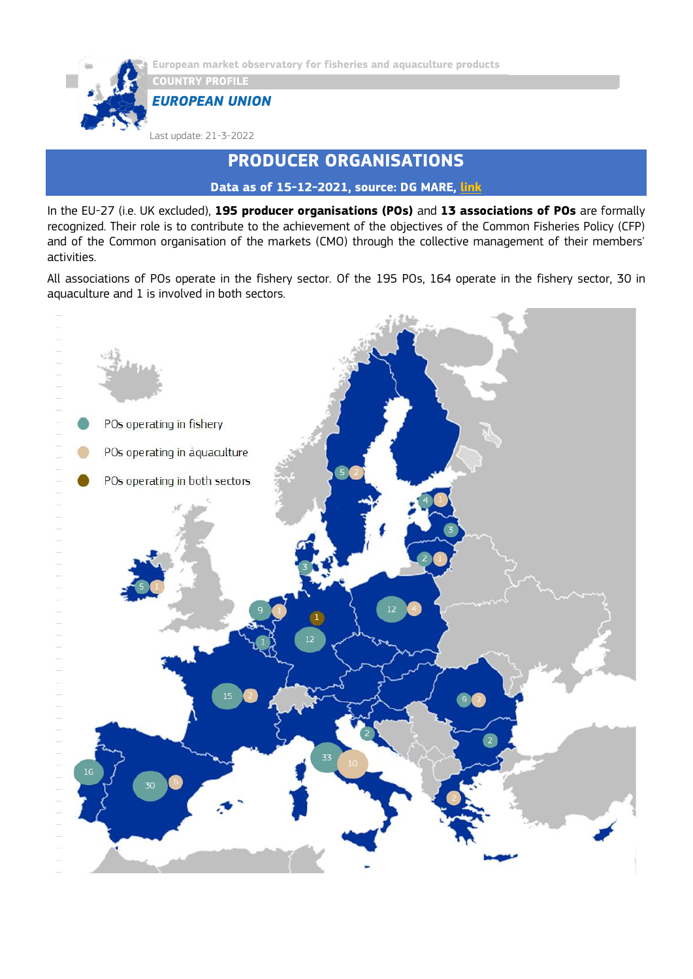

**European market observatory for fisheries and aquaculture products**

*EUROPEAN UNION*

Last update: 21-3-2022

### **PRODUCER ORGANISATIONS**

**Data as of 15-12-2021, source: DG MARE, [link](https://ec.europa.eu/fisheries/sites/fisheries/files/list-of-recognised-producer-organisations-and-associations-of-producer-organisations.pdf)**

In the EU-27 (i.e. UK excluded), **195 producer organisations (POs)** and **13 associations of POs** are formally recognized. Their role is to contribute to the achievement of the objectives of the Common Fisheries Policy (CFP) and of the Common organisation of the markets (CMO) through the collective management of their members' activities.

All associations of POs operate in the fishery sector. Of the 195 POs, 164 operate in the fishery sector, 30 in aquaculture and 1 is involved in both sectors.

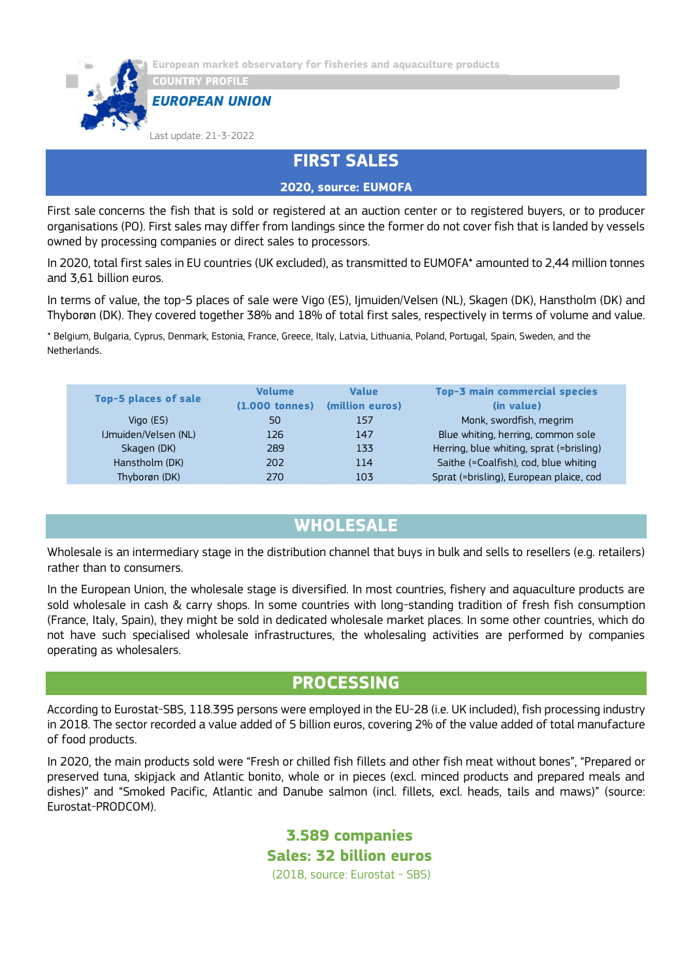

*EUROPEAN UNION*

Last update: 21-3-2022

### **FIRST SALES**

**2020, source: EUMOFA**

First sale concerns the fish that is sold or registered at an auction center or to registered buyers, or to producer organisations (PO). First sales may differ from landings since the former do not cover fish that is landed by vessels owned by processing companies or direct sales to processors.

In 2020, total first sales in EU countries (UK excluded), as transmitted to EUMOFA\* amounted to 2,44 million tonnes and 3,61 billion euros.

In terms of value, the top-5 places of sale were Vigo (ES), Ijmuiden/Velsen (NL), Skagen (DK), Hanstholm (DK) and Thyborøn (DK). They covered together 38% and 18% of total first sales, respectively in terms of volume and value.

\* Belgium, Bulgaria, Cyprus, Denmark, Estonia, France, Greece, Italy, Latvia, Lithuania, Poland, Portugal, Spain, Sweden, and the Netherlands.

| <b>Top-5 places of sale</b> | <b>Volume</b><br>$(1.000$ tonnes) | <b>Value</b><br>(million euros) | Top-3 main commercial species<br>(in value) |
|-----------------------------|-----------------------------------|---------------------------------|---------------------------------------------|
| Vigo $(ES)$                 | 50                                | 157                             | Monk, swordfish, megrim                     |
| IJmuiden/Velsen (NL)        | 126                               | 147                             | Blue whiting, herring, common sole          |
| Skagen (DK)                 | 289                               | 133                             | Herring, blue whiting, sprat (=brisling)    |
| Hanstholm (DK)              | 202                               | 114                             | Saithe (=Coalfish), cod, blue whiting       |
| Thyborøn (DK)               | 270                               | 103                             | Sprat (=brisling), European plaice, cod     |

### **WHOLESALE**

Wholesale is an intermediary stage in the distribution channel that buys in bulk and sells to resellers (e.g. retailers) rather than to consumers.

In the European Union, the wholesale stage is diversified. In most countries, fishery and aquaculture products are sold wholesale in cash & carry shops. In some countries with long-standing tradition of fresh fish consumption (France, Italy, Spain), they might be sold in dedicated wholesale market places. In some other countries, which do not have such specialised wholesale infrastructures, the wholesaling activities are performed by companies operating as wholesalers.

### **PROCESSING**

According to Eurostat-SBS, 118.395 persons were employed in the EU-28 (i.e. UK included), fish processing industry in 2018. The sector recorded a value added of 5 billion euros, covering 2% of the value added of total manufacture of food products.

In 2020, the main products sold were "Fresh or chilled fish fillets and other fish meat without bones", "Prepared or preserved tuna, skipjack and Atlantic bonito, whole or in pieces (excl. minced products and prepared meals and dishes)" and "Smoked Pacific, Atlantic and Danube salmon (incl. fillets, excl. heads, tails and maws)" (source: Eurostat-PRODCOM).

> **3.589 companies Sales: 32 billion euros** (2018, source: Eurostat - SBS)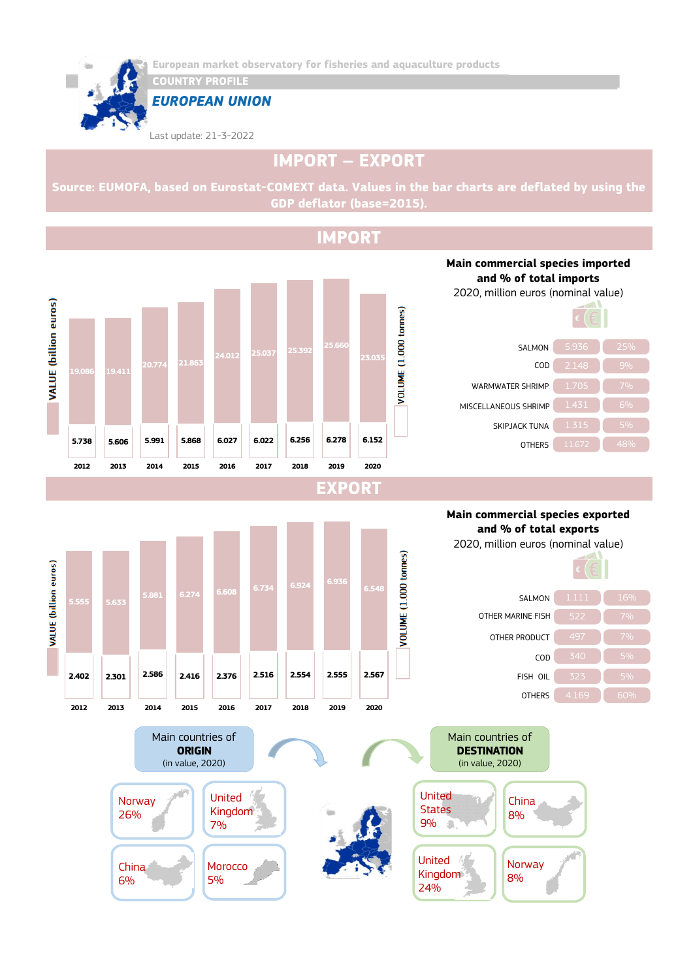

**COUNTRY PROFILE**

*EUROPEAN UNION*

Last update: 21-3-2022

# **IMPORT – EXPORT**

**Source: EUMOFA, based on Eurostat-COMEXT data. Values in the bar charts are deflated by using the GDP deflator (base=2015).**

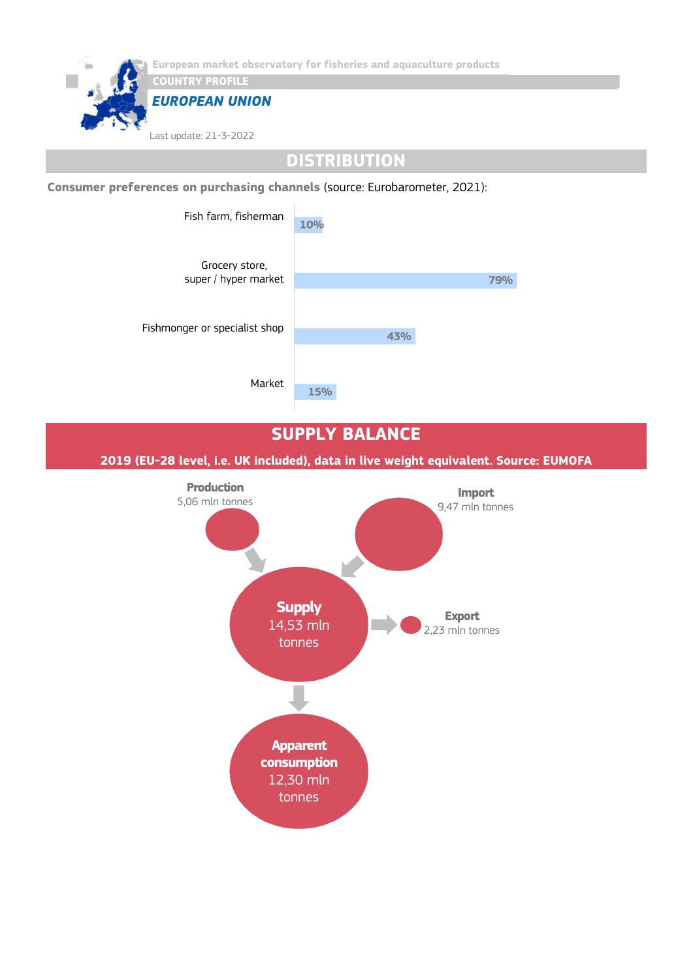

## **DISTRIBUTION**

**Consumer preferences on purchasing channels** (source: Eurobarometer, 2021):



### **SUPPLY BALANCE**

**2019 (EU-28 level, i.e. UK included), data in live weight equivalent. Source: EUMOFA**

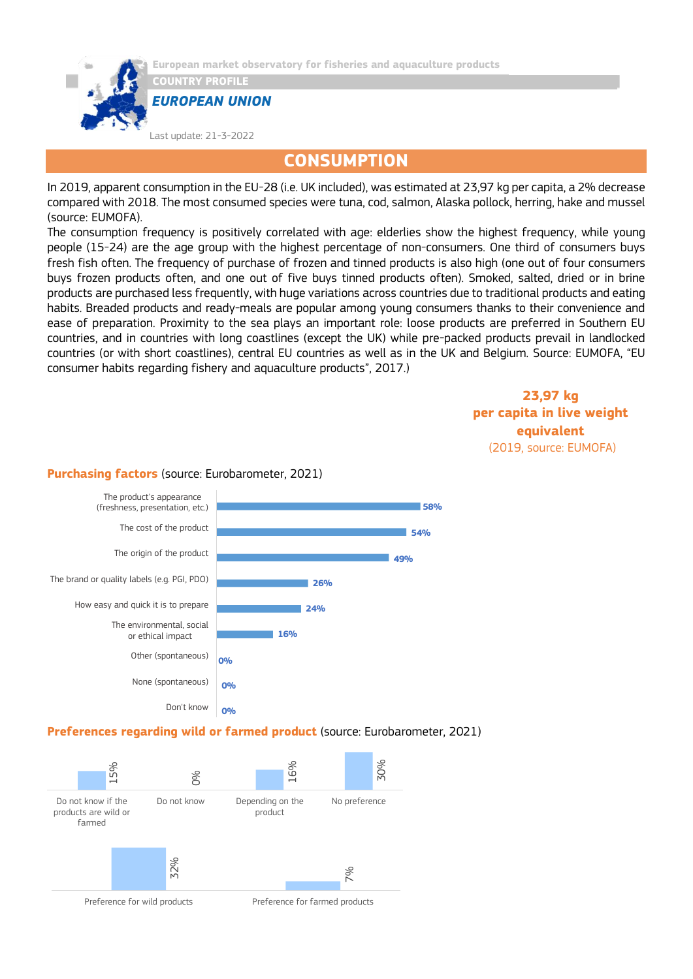

**CONSUMPTION**

In 2019, apparent consumption in the EU-28 (i.e. UK included), was estimated at 23,97 kg per capita, a 2% decrease compared with 2018. The most consumed species were tuna, cod, salmon, Alaska pollock, herring, hake and mussel (source: EUMOFA).

The consumption frequency is positively correlated with age: elderlies show the highest frequency, while young people (15-24) are the age group with the highest percentage of non-consumers. One third of consumers buys fresh fish often. The frequency of purchase of frozen and tinned products is also high (one out of four consumers buys frozen products often, and one out of five buys tinned products often). Smoked, salted, dried or in brine products are purchased less frequently, with huge variations across countries due to traditional products and eating habits. Breaded products and ready-meals are popular among young consumers thanks to their convenience and ease of preparation. Proximity to the sea plays an important role: loose products are preferred in Southern EU countries, and in countries with long coastlines (except the UK) while pre-packed products prevail in landlocked countries (or with short coastlines), central EU countries as well as in the UK and Belgium. Source: EUMOFA, "EU consumer habits regarding fishery and aquaculture products", 2017.)

> **23,97 kg per capita in live weight equivalent** (2019, source: EUMOFA)



### **Purchasing factors** (source: Eurobarometer, 2021)

#### **Preferences regarding wild or farmed product** (source: Eurobarometer, 2021)